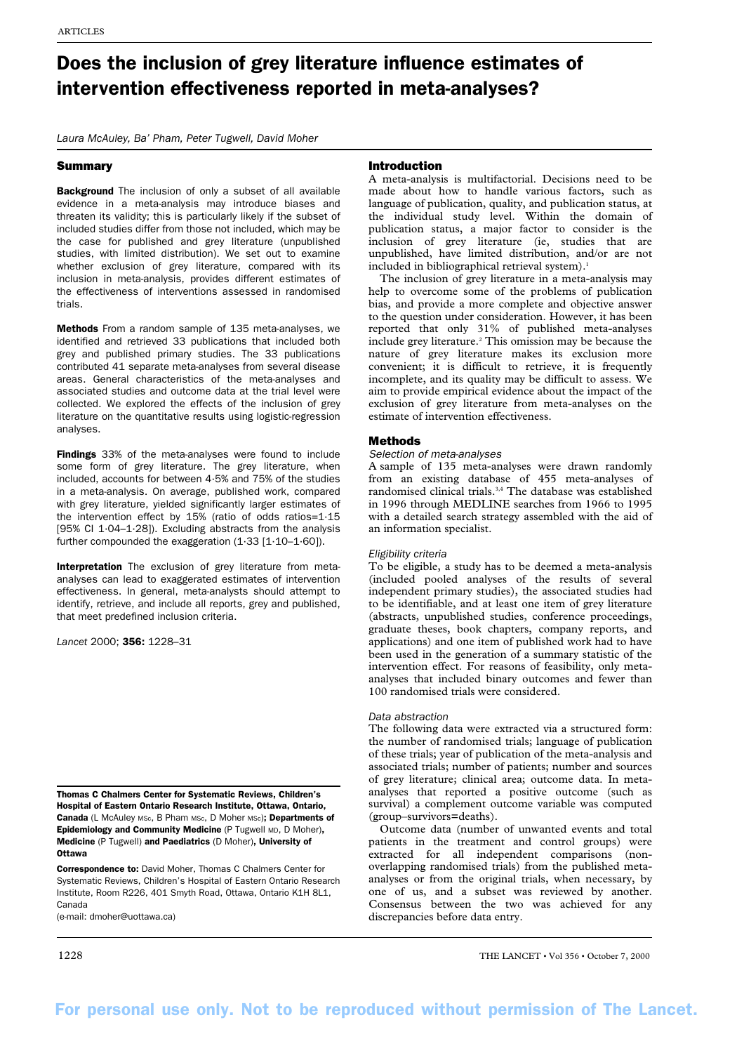# Does the inclusion of grey literature influence estimates of intervention effectiveness reported in meta-analyses?

*Laura McAuley, Ba' Pham, Peter Tugwell, David Moher*

# Summary

**Background** The inclusion of only a subset of all available evidence in a meta-analysis may introduce biases and threaten its validity; this is particularly likely if the subset of included studies differ from those not included, which may be the case for published and grey literature (unpublished studies, with limited distribution). We set out to examine whether exclusion of grey literature, compared with its inclusion in meta-analysis, provides different estimates of the effectiveness of interventions assessed in randomised trials.

Methods From a random sample of 135 meta-analyses, we identified and retrieved 33 publications that included both grey and published primary studies. The 33 publications contributed 41 separate meta-analyses from several disease areas. General characteristics of the meta-analyses and associated studies and outcome data at the trial level were collected. We explored the effects of the inclusion of grey literature on the quantitative results using logistic-regression analyses.

Findings 33% of the meta-analyses were found to include some form of grey literature. The grey literature, when included, accounts for between 4·5% and 75% of the studies in a meta-analysis. On average, published work, compared with grey literature, yielded significantly larger estimates of the intervention effect by 15% (ratio of odds ratios=1·15 [95% CI 1·04–1·28]). Excluding abstracts from the analysis further compounded the exaggeration  $(1.33 [1.10-1.60]).$ 

Interpretation The exclusion of grey literature from metaanalyses can lead to exaggerated estimates of intervention effectiveness. In general, meta-analysts should attempt to identify, retrieve, and include all reports, grey and published, that meet predefined inclusion criteria.

*Lancet* 2000; 356: 1228–31

Thomas C Chalmers Center for Systematic Reviews, Children's Hospital of Eastern Ontario Research Institute, Ottawa, Ontario, Canada (L McAuley MSc, B Pham MSc, D Moher MSc); Departments of Epidemiology and Community Medicine (P Tugwell MD, D Moher), Medicine (P Tugwell) and Paediatrics (D Moher), University of Ottawa

Correspondence to: David Moher, Thomas C Chalmers Center for Systematic Reviews, Children's Hospital of Eastern Ontario Research Institute, Room R226, 401 Smyth Road, Ottawa, Ontario K1H 8L1, Canada

(e-mail: dmoher@uottawa.ca)

# Introduction

A meta-analysis is multifactorial. Decisions need to be made about how to handle various factors, such as language of publication, quality, and publication status, at the individual study level. Within the domain of publication status, a major factor to consider is the inclusion of grey literature (ie, studies that are unpublished, have limited distribution, and/or are not included in bibliographical retrieval system).<sup>1</sup>

The inclusion of grey literature in a meta-analysis may help to overcome some of the problems of publication bias, and provide a more complete and objective answer to the question under consideration. However, it has been reported that only 31% of published meta-analyses include grey literature.2 This omission may be because the nature of grey literature makes its exclusion more convenient; it is difficult to retrieve, it is frequently incomplete, and its quality may be difficult to assess. We aim to provide empirical evidence about the impact of the exclusion of grey literature from meta-analyses on the estimate of intervention effectiveness.

## Methods

## Selection of meta-analyses

A sample of 135 meta-analyses were drawn randomly from an existing database of 455 meta-analyses of randomised clinical trials.3,4 The database was established in 1996 through MEDLINE searches from 1966 to 1995 with a detailed search strategy assembled with the aid of an information specialist.

# *Eligibility criteria*

To be eligible, a study has to be deemed a meta-analysis (included pooled analyses of the results of several independent primary studies), the associated studies had to be identifiable, and at least one item of grey literature (abstracts, unpublished studies, conference proceedings, graduate theses, book chapters, company reports, and applications) and one item of published work had to have been used in the generation of a summary statistic of the intervention effect. For reasons of feasibility, only metaanalyses that included binary outcomes and fewer than 100 randomised trials were considered.

## *Data abstraction*

The following data were extracted via a structured form: the number of randomised trials; language of publication of these trials; year of publication of the meta-analysis and associated trials; number of patients; number and sources of grey literature; clinical area; outcome data. In metaanalyses that reported a positive outcome (such as survival) a complement outcome variable was computed (group–survivors=deaths).

Outcome data (number of unwanted events and total patients in the treatment and control groups) were extracted for all independent comparisons (nonoverlapping randomised trials) from the published metaanalyses or from the original trials, when necessary, by one of us, and a subset was reviewed by another. Consensus between the two was achieved for any discrepancies before data entry.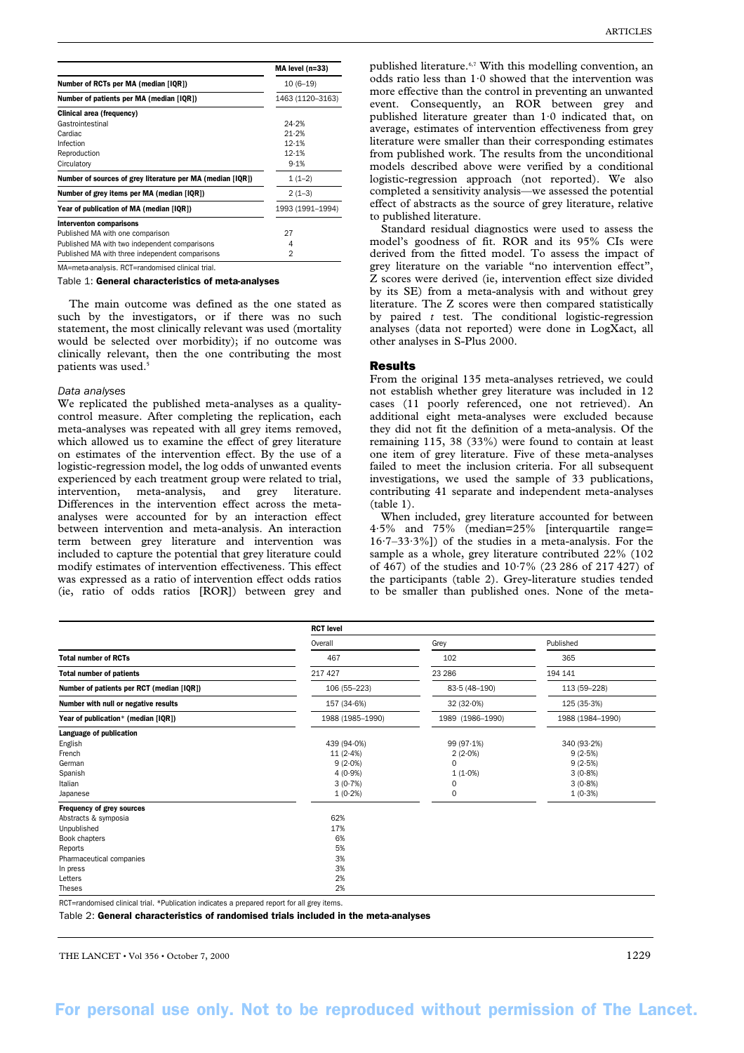|                                                            | $MA$ level $(n=33)$ |
|------------------------------------------------------------|---------------------|
| Number of RCTs per MA (median [IQR])                       | $10(6-19)$          |
| Number of patients per MA (median [IQR])                   | 1463 (1120-3163)    |
| Clinical area (frequency)                                  |                     |
| Gastrointestinal                                           | 24.2%               |
| Cardiac                                                    | 21.2%               |
| Infection                                                  | 12.1%               |
| Reproduction                                               | 12.1%               |
| Circulatory                                                | 9.1%                |
| Number of sources of grey literature per MA (median [IQR]) | $1(1-2)$            |
| Number of grey items per MA (median [IQR])                 | $2(1-3)$            |
| Year of publication of MA (median [IQR])                   | 1993 (1991-1994)    |
| Interventon comparisons                                    |                     |
| Published MA with one comparison                           | 27                  |
| Published MA with two independent comparisons              | 4                   |
| Published MA with three independent comparisons            | 2                   |

MA=meta-analysis. RCT=randomised clinical trial.

Table 1: General characteristics of meta-analyses

The main outcome was defined as the one stated as such by the investigators, or if there was no such statement, the most clinically relevant was used (mortality would be selected over morbidity); if no outcome was clinically relevant, then the one contributing the most patients was used.<sup>5</sup>

#### *Data analyses*

We replicated the published meta-analyses as a qualitycontrol measure. After completing the replication, each meta-analyses was repeated with all grey items removed, which allowed us to examine the effect of grey literature on estimates of the intervention effect. By the use of a logistic-regression model, the log odds of unwanted events experienced by each treatment group were related to trial, intervention, meta-analysis, and grey literature. Differences in the intervention effect across the metaanalyses were accounted for by an interaction effect between intervention and meta-analysis. An interaction term between grey literature and intervention was included to capture the potential that grey literature could modify estimates of intervention effectiveness. This effect was expressed as a ratio of intervention effect odds ratios (ie, ratio of odds ratios [ROR]) between grey and

published literature.6,7 With this modelling convention, an odds ratio less than 1·0 showed that the intervention was more effective than the control in preventing an unwanted event. Consequently, an ROR between grey and published literature greater than 1·0 indicated that, on average, estimates of intervention effectiveness from grey literature were smaller than their corresponding estimates from published work. The results from the unconditional models described above were verified by a conditional logistic-regression approach (not reported). We also completed a sensitivity analysis—we assessed the potential effect of abstracts as the source of grey literature, relative to published literature.

Standard residual diagnostics were used to assess the model's goodness of fit. ROR and its 95% CIs were derived from the fitted model. To assess the impact of grey literature on the variable "no intervention effect" Z scores were derived (ie, intervention effect size divided by its SE) from a meta-analysis with and without grey literature. The Z scores were then compared statistically by paired *t* test. The conditional logistic-regression analyses (data not reported) were done in LogXact, all other analyses in S-Plus 2000.

#### Results

From the original 135 meta-analyses retrieved, we could not establish whether grey literature was included in 12 cases (11 poorly referenced, one not retrieved). An additional eight meta-analyses were excluded because they did not fit the definition of a meta-analysis. Of the remaining 115, 38 (33%) were found to contain at least one item of grey literature. Five of these meta-analyses failed to meet the inclusion criteria. For all subsequent investigations, we used the sample of 33 publications, contributing 41 separate and independent meta-analyses (table 1).

When included, grey literature accounted for between 4·5% and 75% (median=25% [interquartile range= 16·7–33·3%]) of the studies in a meta-analysis. For the sample as a whole, grey literature contributed 22% (102 of 467) of the studies and 10·7% (23 286 of 217 427) of the participants (table 2). Grey-literature studies tended to be smaller than published ones. None of the meta-

|                                                                                                                                                           | <b>RCT level</b>                                                             |                                                       |                                                                             |
|-----------------------------------------------------------------------------------------------------------------------------------------------------------|------------------------------------------------------------------------------|-------------------------------------------------------|-----------------------------------------------------------------------------|
|                                                                                                                                                           | Overall                                                                      | Grey                                                  | Published                                                                   |
| <b>Total number of RCTs</b>                                                                                                                               | 467                                                                          | 102                                                   | 365                                                                         |
| <b>Total number of patients</b>                                                                                                                           | 217 427                                                                      | 23 28 6                                               | 194 141                                                                     |
| Number of patients per RCT (median [IQR])                                                                                                                 | 106 (55-223)                                                                 | 83-5 (48-190)                                         | 113 (59-228)                                                                |
| Number with null or negative results                                                                                                                      | 157 (34.6%)                                                                  | 32 (32.0%)                                            | 125 (35-3%)                                                                 |
| Year of publication* (median [IQR])                                                                                                                       | 1988 (1985-1990)                                                             | 1989 (1986-1990)                                      | 1988 (1984-1990)                                                            |
| Language of publication<br>English<br>French<br>German<br>Spanish<br>Italian<br>Japanese                                                                  | 439 (94.0%)<br>11(2.4%)<br>$9(2.0\%)$<br>$4(0.9\%)$<br>3(0.7%)<br>$1(0.2\%)$ | 99 (97.1%)<br>$2(2.0\%)$<br>0<br>$1(1.0\%)$<br>0<br>0 | 340 (93-2%)<br>9(2.5%)<br>9(2.5%)<br>$3(0.8\%)$<br>$3(0.8\%)$<br>$1(0.3\%)$ |
| Frequency of grey sources<br>Abstracts & symposia<br>Unpublished<br>Book chapters<br>Reports<br>Pharmaceutical companies<br>In press<br>Letters<br>Theses | 62%<br>17%<br>6%<br>5%<br>3%<br>3%<br>2%<br>2%                               |                                                       |                                                                             |

RCT=randomised clinical trial. \*Publication indicates a prepared report for all grey items.

Table 2: General characteristics of randomised trials included in the meta-analyses

THE LANCET • Vol 356 • October 7, 2000  $1229$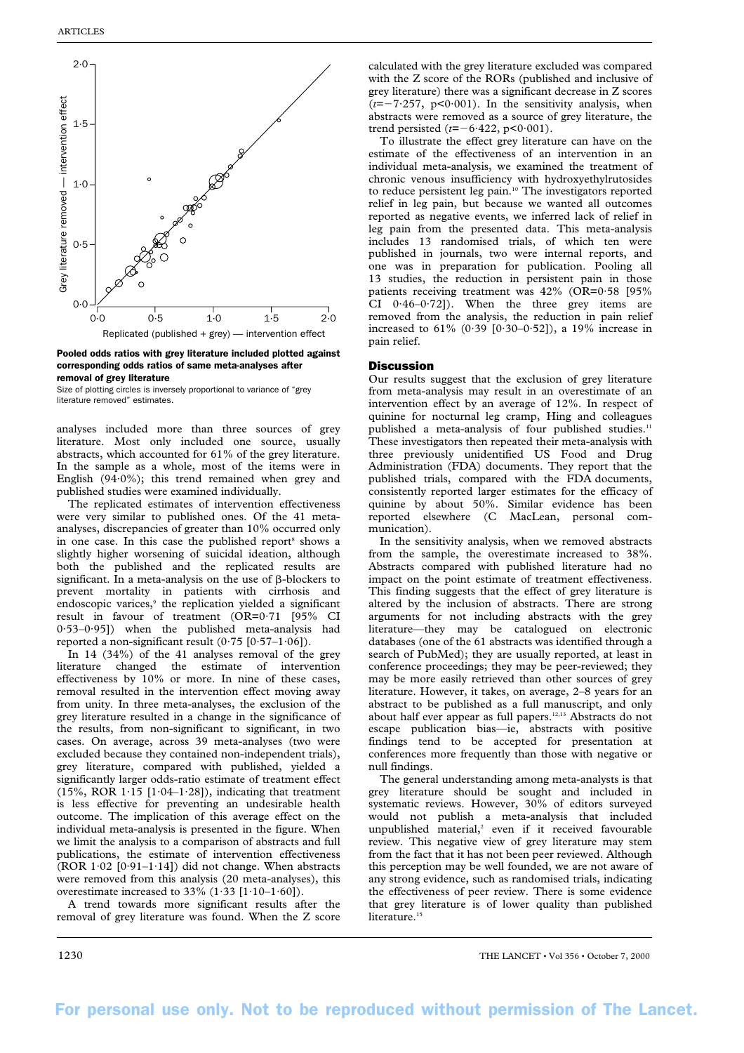

Pooled odds ratios with grey literature included plotted against corresponding odds ratios of same meta-analyses after removal of grey literature

Size of plotting circles is inversely proportional to variance of "grey literature removed" estimates.

analyses included more than three sources of grey literature. Most only included one source, usually abstracts, which accounted for 61% of the grey literature. In the sample as a whole, most of the items were in English (94·0%); this trend remained when grey and published studies were examined individually.

The replicated estimates of intervention effectiveness were very similar to published ones. Of the 41 metaanalyses, discrepancies of greater than 10% occurred only in one case. In this case the published report<sup>8</sup> shows a slightly higher worsening of suicidal ideation, although both the published and the replicated results are significant. In a meta-analysis on the use of  $\beta$ -blockers to prevent mortality in patients with cirrhosis and endoscopic varices,<sup>9</sup> the replication yielded a significant result in favour of treatment (OR=0·71 [95% CI 0·53–0·95]) when the published meta-analysis had reported a non-significant result  $(0.75 [0.57-1.06])$ .

In 14 (34%) of the 41 analyses removal of the grey literature changed the estimate of intervention effectiveness by 10% or more. In nine of these cases, removal resulted in the intervention effect moving away from unity. In three meta-analyses, the exclusion of the grey literature resulted in a change in the significance of the results, from non-significant to significant, in two cases. On average, across 39 meta-analyses (two were excluded because they contained non-independent trials), grey literature, compared with published, yielded a significantly larger odds-ratio estimate of treatment effect  $(15\%, ROR 1.15 [1.04-1.28]),$  indicating that treatment is less effective for preventing an undesirable health outcome. The implication of this average effect on the individual meta-analysis is presented in the figure. When we limit the analysis to a comparison of abstracts and full publications, the estimate of intervention effectiveness  $(ROR 1.02 [0.91-1.14])$  did not change. When abstracts were removed from this analysis (20 meta-analyses), this overestimate increased to  $33\%$   $(1.33 \, [1.10-1.60])$ .

A trend towards more significant results after the removal of grey literature was found. When the Z score

calculated with the grey literature excluded was compared with the Z score of the RORs (published and inclusive of grey literature) there was a significant decrease in Z scores  $(t=-7.257, p<0.001)$ . In the sensitivity analysis, when abstracts were removed as a source of grey literature, the trend persisted  $(t=-6.422, p<0.001)$ .

To illustrate the effect grey literature can have on the estimate of the effectiveness of an intervention in an individual meta-analysis, we examined the treatment of chronic venous insufficiency with hydroxyethylrutosides to reduce persistent leg pain.<sup>10</sup> The investigators reported relief in leg pain, but because we wanted all outcomes reported as negative events, we inferred lack of relief in leg pain from the presented data. This meta-analysis includes 13 randomised trials, of which ten were published in journals, two were internal reports, and one was in preparation for publication. Pooling all 13 studies, the reduction in persistent pain in those patients receiving treatment was 42% (OR=0·58 [95% CI  $0.46-0.72$ ]). When the three grey items are removed from the analysis, the reduction in pain relief increased to  $61\%$  (0·39 [0·30-0·52]), a 19% increase in pain relief.

## Discussion

Our results suggest that the exclusion of grey literature from meta-analysis may result in an overestimate of an intervention effect by an average of 12%. In respect of quinine for nocturnal leg cramp, Hing and colleagues published a meta-analysis of four published studies.<sup>11</sup> These investigators then repeated their meta-analysis with three previously unidentified US Food and Drug Administration (FDA) documents. They report that the published trials, compared with the FDA documents, consistently reported larger estimates for the efficacy of quinine by about 50%. Similar evidence has been reported elsewhere (C MacLean, personal communication).

In the sensitivity analysis, when we removed abstracts from the sample, the overestimate increased to 38%. Abstracts compared with published literature had no impact on the point estimate of treatment effectiveness. This finding suggests that the effect of grey literature is altered by the inclusion of abstracts. There are strong arguments for not including abstracts with the grey literature—they may be catalogued on electronic databases (one of the 61 abstracts was identified through a search of PubMed); they are usually reported, at least in conference proceedings; they may be peer-reviewed; they may be more easily retrieved than other sources of grey literature. However, it takes, on average, 2–8 years for an abstract to be published as a full manuscript, and only about half ever appear as full papers.<sup>12,13</sup> Abstracts do not escape publication bias—ie, abstracts with positive findings tend to be accepted for presentation at conferences more frequently than those with negative or null findings.

The general understanding among meta-analysts is that grey literature should be sought and included in systematic reviews. However, 30% of editors surveyed would not publish a meta-analysis that included unpublished material, $2$  even if it received favourable review. This negative view of grey literature may stem from the fact that it has not been peer reviewed. Although this perception may be well founded, we are not aware of any strong evidence, such as randomised trials, indicating the effectiveness of peer review. There is some evidence that grey literature is of lower quality than published literature.<sup>15</sup>